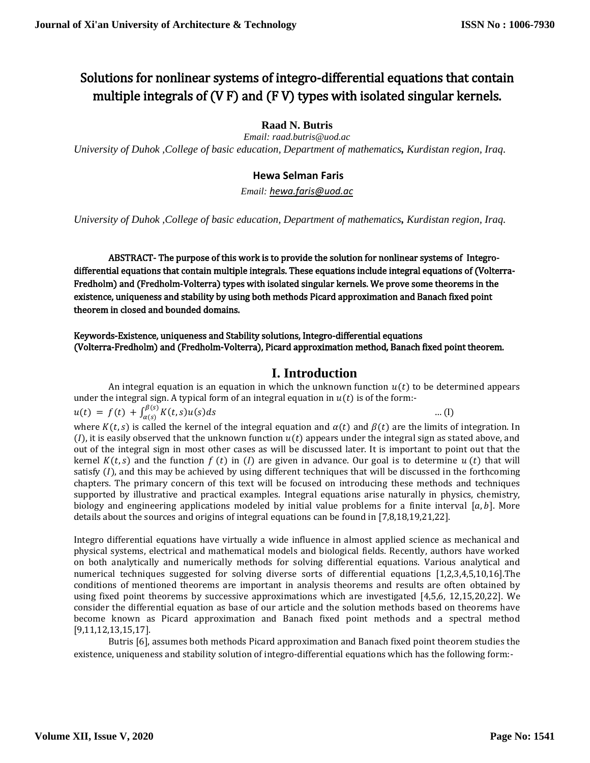# Solutions for nonlinear systems of integro-differential equations that contain multiple integrals of (V F) and (F V) types with isolated singular kernels.

**Raad N. Butris**

*Email: raad.butris@uod.ac University of Duhok ,College of basic education, Department of mathematics, Kurdistan region, Iraq.*

### **Hewa Selman Faris**

*Email: [hewa.faris@uod.ac](mailto:hewa.faris@uod.ac)*

*University of Duhok ,College of basic education, Department of mathematics, Kurdistan region, Iraq.*

ABSTRACT- The purpose of this work is to provide the solution for nonlinear systems of Integrodifferential equations that contain multiple integrals. These equations include integral equations of (Volterra-Fredholm) and (Fredholm-Volterra) types with isolated singular kernels. We prove some theorems in the existence, uniqueness and stability by using both methods Picard approximation and Banach fixed point theorem in closed and bounded domains.

#### Keywords-Existence, uniqueness and Stability solutions, Integro-differential equations (Volterra-Fredholm) and (Fredholm-Volterra), Picard approximation method, Banach fixed point theorem.

# **I. Introduction**

An integral equation is an equation in which the unknown function  $u(t)$  to be determined appears under the integral sign. A typical form of an integral equation in  $u(t)$  is of the form:-

 $u(t) = f(t) + \int_{\alpha(s)}^{\beta(s)} K(t,s)u(s)ds$ … (I) where  $K(t, s)$  is called the kernel of the integral equation and  $\alpha(t)$  and  $\beta(t)$  are the limits of integration. In  $(I)$ , it is easily observed that the unknown function  $u(t)$  appears under the integral sign as stated above, and out of the integral sign in most other cases as will be discussed later. It is important to point out that the kernel  $K(t, s)$  and the function  $f(t)$  in (I) are given in advance. Our goal is to determine  $u(t)$  that will satisfy  $(I)$ , and this may be achieved by using different techniques that will be discussed in the forthcoming chapters. The primary concern of this text will be focused on introducing these methods and techniques supported by illustrative and practical examples. Integral equations arise naturally in physics, chemistry, biology and engineering applications modeled by initial value problems for a finite interval [a, b]. More details about the sources and origins of integral equations can be found in [7,8,18,19,21,22].

Integro differential equations have virtually a wide influence in almost applied science as mechanical and physical systems, electrical and mathematical models and biological fields. Recently, authors have worked on both analytically and numerically methods for solving differential equations. Various analytical and numerical techniques suggested for solving diverse sorts of differential equations [1,2,3,4,5,10,16].The conditions of mentioned theorems are important in analysis theorems and results are often obtained by using fixed point theorems by successive approximations which are investigated [4,5,6, 12,15,20,22]. We consider the differential equation as base of our article and the solution methods based on theorems have become known as Picard approximation and Banach fixed point methods and a spectral method [9,11,12,13,15,17].

Butris [6], assumes both methods Picard approximation and Banach fixed point theorem studies the existence, uniqueness and stability solution of integro-differential equations which has the following form:-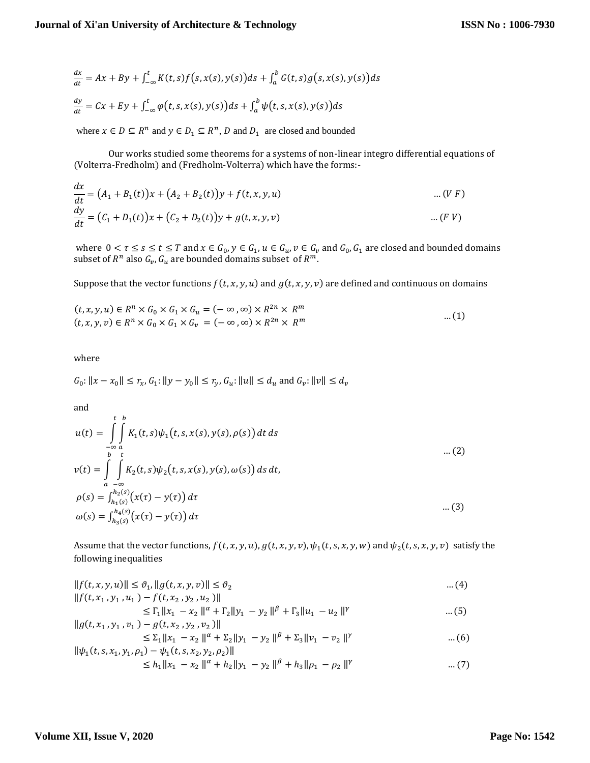$$
\frac{dx}{dt} = Ax + By + \int_{-\infty}^{t} K(t,s)f(s,x(s),y(s))ds + \int_{a}^{b} G(t,s)g(s,x(s),y(s))ds
$$

$$
\frac{dy}{dt} = Cx + Ey + \int_{-\infty}^{t} \varphi(t,s,x(s),y(s))ds + \int_{a}^{b} \psi(t,s,x(s),y(s))ds
$$

where  $x \in D \subseteq R^n$  and  $y \in D_1 \subseteq R^n$ , D and  $D_1$  are closed and bounded

Our works studied some theorems for a systems of non-linear integro differential equations of (Volterra-Fredholm) and (Fredholm-Volterra) which have the forms:-

$$
\frac{dx}{dt} = (A_1 + B_1(t))x + (A_2 + B_2(t))y + f(t, x, y, u)
$$
\n... (V F)\n
$$
\frac{dy}{dt} = (C_1 + D_1(t))x + (C_2 + D_2(t))y + g(t, x, y, v)
$$
\n... (F V)

where  $0 < \tau \le s \le t \le T$  and  $x \in G_0$ ,  $y \in G_1$ ,  $u \in G_u$ ,  $v \in G_v$  and  $G_0$ ,  $G_1$  are closed and bounded domains subset of  $R^n$  also  $G_\nu$ ,  $G_u$  are bounded domains subset  $\;$  of  $R^m.$ 

Suppose that the vector functions  $f(t, x, y, u)$  and  $g(t, x, y, v)$  are defined and continuous on domains

$$
(t, x, y, u) \in R^n \times G_0 \times G_1 \times G_u = (-\infty, \infty) \times R^{2n} \times R^m
$$
  

$$
(t, x, y, v) \in R^n \times G_0 \times G_1 \times G_v = (-\infty, \infty) \times R^{2n} \times R^m
$$
...(1)

where

$$
G_0\text{: } \|x-x_0\|\le r_x, G_1\text{: } \|y-y_0\|\le r_y, G_u\text{: } \|u\|\le d_u \text{ and } G_v\text{: } \|v\|\le d_v
$$

and

$$
u(t) = \int_{-\infty}^{t} \int_{a}^{b} K_1(t, s) \psi_1(t, s, x(s), y(s), \rho(s)) dt ds
$$
  
\n
$$
v(t) = \int_{a}^{b} \int_{-\infty}^{t} K_2(t, s) \psi_2(t, s, x(s), y(s), \omega(s)) ds dt,
$$
  
\n
$$
\rho(s) = \int_{h_1(s)}^{h_2(s)} (x(\tau) - y(\tau)) d\tau
$$
  
\n
$$
\omega(s) = \int_{h_3(s)}^{h_4(s)} (x(\tau) - y(\tau)) d\tau
$$
...(3)

Assume that the vector functions,  $f(t, x, y, u)$ ,  $g(t, x, y, v)$ ,  $\psi_1(t, s, x, y, w)$  and  $\psi_2(t, s, x, y, v)$  satisfy the following inequalities

$$
||f(t, x, y, u)|| \leq \vartheta_1, ||g(t, x, y, v)|| \leq \vartheta_2 \tag{4}
$$

$$
||f(t, x_1, y_1, u_1) - f(t, x_2, y_2, u_2)||
$$
  
\n
$$
\leq \Gamma_1 ||x_1 - x_2||^{\alpha} + \Gamma_2 ||y_1 - y_2||^{\beta} + \Gamma_3 ||u_1 - u_2||^{\gamma}
$$
...(5)  
\n
$$
||g(t, x_1, y_1, v_1) - g(t, x_2, y_2, v_2)||
$$

$$
\leq \sum_{1} ||x_{1} - x_{2}||^{\alpha} + \sum_{2} ||y_{1} - y_{2}||^{\beta} + \sum_{3} ||v_{1} - v_{2}||^{\gamma}
$$
...(6)  

$$
||\psi_{1}(t, s, x_{1}, y_{1}, \rho_{1}) - \psi_{1}(t, s, x_{2}, y_{2}, \rho_{2})||
$$

$$
\leq h_1 \|x_1 - x_2\|^{\alpha} + h_2 \|y_1 - y_2\|^{\beta} + h_3 \|p_1 - p_2\|^{\gamma} \qquad \qquad \dots (7)
$$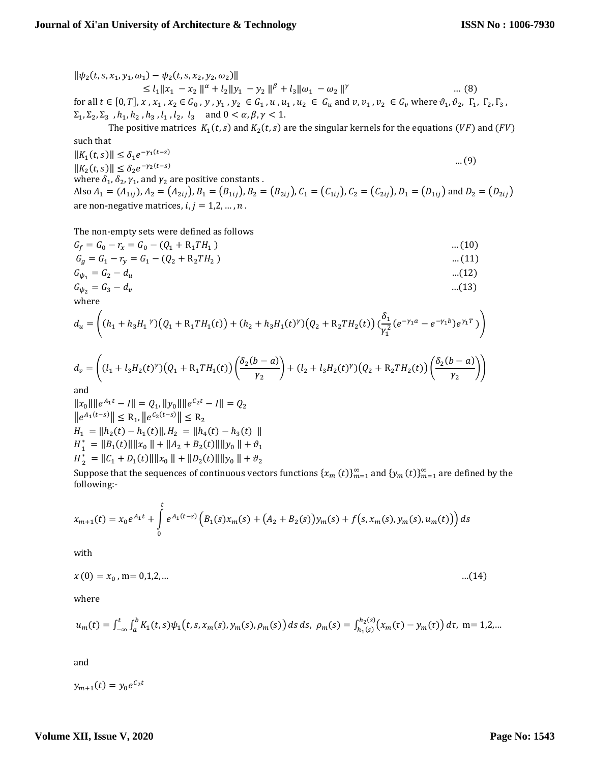$\|\psi_2(t, s, x_1, y_1, \omega_1) - \psi_2(t, s, x_2, y_2, \omega_2)\|$  $\leq l_1 \|x_1 - x_2\|^{\alpha} + l_2 \|y_1 - y_2\|^{\beta} + l_3 \|\omega_1 - \omega_2\|$  … (8) for all  $t \in [0, T]$ , x,  $x_1$ ,  $x_2 \in G_0$ , y,  $y_1$ ,  $y_2 \in G_1$ ,  $u$ ,  $u_1$ ,  $u_2 \in G_u$  and  $v$ ,  $v_1$ ,  $v_2 \in G_v$  where  $\vartheta_1$ ,  $\vartheta_2$ ,  $\Gamma_1$ ,  $\Gamma_2$ ,  $\Gamma_3$ ,  $\Sigma_1, \Sigma_2, \Sigma_3$ ,  $h_1, h_2, h_3, l_1, l_2, l_3$  and  $0 < \alpha, \beta, \gamma < 1$ .

The positive matrices  $K_1(t,s)$  and  $K_2(t,s)$  are the singular kernels for the equations  $(VF)$  and  $(FV)$ such that  $||K_1(t,s)|| \leq \delta_1 e^{-\gamma_1(t-s)}$ 

 $||K_2(t,s)|| \leq \delta_2 e^{-\gamma_2}$  $($  $(-s)$  … (9) where  $\delta_1$ ,  $\delta_2$ ,  $\gamma_1$ , and  $\gamma_2$  are positive constants . Also  $A_1 = (A_{1ii})$ ,  $A_2 = (A_{2ii})$ ,  $B_1 = (B_{1ii})$ ,  $B_2 = (B_{2ii})$ ,  $C_1 = (C_{1ii})$ ,  $C_2 = (C_{2ii})$ ,  $D_1 = (D_{1ii})$  and  $D_2 = (D_{2ii})$ are non-negative matrices,  $i, j = 1, 2, ..., n$ .

The non-empty sets were defined as follows

$$
G_f = G_0 - r_x = G_0 - (Q_1 + R_1 T H_1)
$$
\n
$$
G_g = G_1 - r_y = G_1 - (Q_2 + R_2 T H_2)
$$
\n....(11)\n
$$
G_{\psi_1} = G_2 - d_u
$$
\n....(12)\n
$$
G_{\psi_2} = G_3 - d_v
$$
\n....(13)

where

$$
d_u = \left( (h_1 + h_3 H_1^{\ \gamma})(Q_1 + R_1 T H_1(t)) + (h_2 + h_3 H_1(t)^{\gamma})(Q_2 + R_2 T H_2(t)) \left( \frac{\delta_1}{\gamma_1^2} (e^{-\gamma_1 a} - e^{-\gamma_1 b}) e^{\gamma_1 T} \right) \right)
$$

$$
d_v = \left( (l_1 + l_3 H_2(t)^{\gamma}) \left( Q_1 + R_1 T H_1(t) \right) \left( \frac{\delta_2(b-a)}{\gamma_2} \right) + (l_2 + l_3 H_2(t)^{\gamma}) \left( Q_2 + R_2 T H_2(t) \right) \left( \frac{\delta_2(b-a)}{\gamma_2} \right) \right)
$$

and

 $||x_0|| ||e^{A_1t} - I|| = Q_1$ ,  $||y_0|| ||e^{C_2t} - I|| = Q_2$  $||e^{A_1(t-s)}|| \leq R_1, ||e^{C_2(t-s)}|| \leq R_2$  $H_1 = ||h_2(t) - h_1(t)||, H_2 = ||h_4(t) - h_3(t)||$  $H_1^* = ||B_1(t)|| ||x_0|| + ||A_2 + B_2(t)|| ||y_0|| + \vartheta_1$  $H_2^* = ||C_1 + D_1(t)|| ||x_0|| + ||D_2(t)|| ||y_0|| + \vartheta_2$ 

Suppose that the sequences of continuous vectors functions  $\{x_m \ (t)\}_{m=1}^\infty$  and  $\{y_m \ (t)\}_{m=1}^\infty$  are defined by the following:-

$$
x_{m+1}(t) = x_0 e^{A_1 t} + \int_0^t e^{A_1(t-s)} \left( B_1(s) x_m(s) + (A_2 + B_2(s)) y_m(s) + f(s, x_m(s), y_m(s), u_m(t)) \right) ds
$$

with

$$
x(0) = x_0, m = 0,1,2,... \tag{14}
$$

where

$$
u_m(t) = \int_{-\infty}^t \int_a^b K_1(t,s) \psi_1(t,s,x_m(s),y_m(s),\rho_m(s)) ds ds, \ \rho_m(s) = \int_{h_1(s)}^{h_2(s)} \bigl(x_m(\tau) - y_m(\tau)\bigr) d\tau, \ m = 1,2,...
$$

and

$$
y_{m+1}(t) = y_0 e^{C_2 t}
$$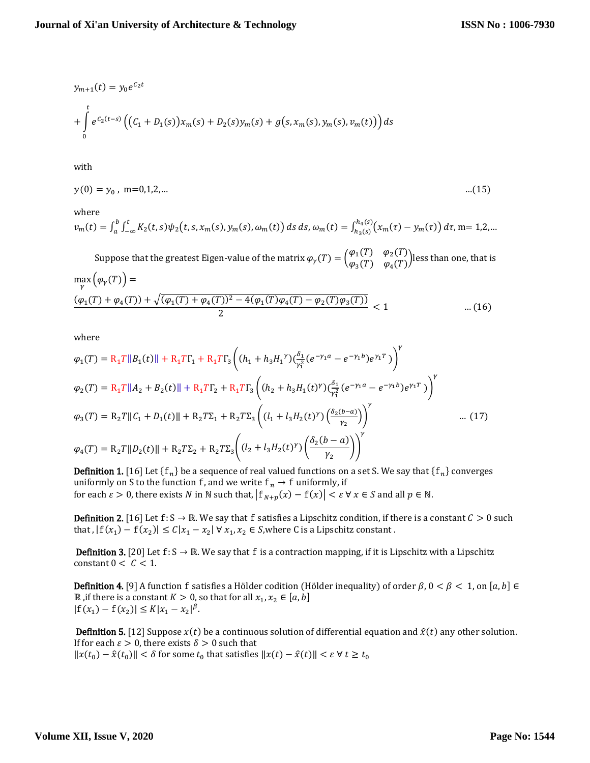$$
y_{m+1}(t) = y_0 e^{C_2 t}
$$
  
+ 
$$
\int_0^t e^{C_2(t-s)} \left( (C_1 + D_1(s)) x_m(s) + D_2(s) y_m(s) + g(s, x_m(s), y_m(s), v_m(t)) \right) ds
$$

2

with

$$
y(0) = y_0, \text{ m=0,1,2,...} \tag{15}
$$

where

$$
v_m(t) = \int_a^b \int_{-\infty}^t K_2(t,s) \psi_2(t,s,x_m(s),y_m(s),\omega_m(t)) ds ds, \omega_m(t) = \int_{h_3(s)}^{h_4(s)} \left(x_m(\tau) - y_m(\tau)\right) d\tau, m = 1,2,...
$$

Suppose that the greatest Eigen-value of the matrix  $\varphi_Y(T) = \begin{pmatrix} \varphi_1(T) & \varphi_2(T) \\ \varphi_1(T) & \varphi_2(T) \end{pmatrix}$  $\varphi_3(T)$   $\varphi_4(T)$  less than one, that is  $\max_{\gamma} (\varphi_{\gamma}(T)) =$  $(\varphi_1(T) + \varphi_4(T)) + \sqrt{(\varphi_1(T) + \varphi_4(T))^2 - 4(\varphi_1(T)\varphi_4(T) - \varphi_2(T)\varphi_3(T))}$  $\dots(16)$ 

where

$$
\varphi_1(T) = R_1 T ||B_1(t)|| + R_1 T \Gamma_1 + R_1 T \Gamma_3 \left( (h_1 + h_3 H_1^{\gamma}) \left( \frac{\delta_1}{\gamma_1^2} (e^{-\gamma_1 a} - e^{-\gamma_1 b}) e^{\gamma_1 T} \right) \right)^{\gamma}
$$
  
\n
$$
\varphi_2(T) = R_1 T ||A_2 + B_2(t)|| + R_1 T \Gamma_2 + R_1 T \Gamma_3 \left( (h_2 + h_3 H_1(t)^{\gamma}) \left( \frac{\delta_1}{\gamma_1^2} (e^{-\gamma_1 a} - e^{-\gamma_1 b}) e^{\gamma_1 T} \right) \right)^{\gamma}
$$
  
\n
$$
\varphi_3(T) = R_2 T ||C_1 + D_1(t)|| + R_2 T \Sigma_1 + R_2 T \Sigma_3 \left( (l_1 + l_3 H_2(t)^{\gamma}) \left( \frac{\delta_2(b-a)}{\gamma_2} \right) \right)^{\gamma} \qquad \dots (17)
$$
  
\n
$$
\varphi_4(T) = R_2 T ||D_2(t)|| + R_2 T \Sigma_2 + R_2 T \Sigma_3 \left( (l_2 + l_3 H_2(t)^{\gamma}) \left( \frac{\delta_2(b-a)}{\gamma_2} \right) \right)^{\gamma}
$$

**Definition 1.** [16] Let  $\{f_n\}$  be a sequence of real valued functions on a set S. We say that  $\{f_n\}$  converges uniformly on S to the function  $\mathbf f$  , and we write  $\mathbf f_n\to \mathbf f$  uniformly, if for each  $\varepsilon > 0$ , there exists  $N$  in  $\mathbb N$  such that,  $|f_{N+p}(x) - f(x)| < \varepsilon \ \forall \ x \in S$  and all  $p \in \mathbb N$ .

**Definition 2.** [16] Let  $f: S \to \mathbb{R}$ . We say that  $f$  satisfies a Lipschitz condition, if there is a constant  $C > 0$  such that ,  $|f(x_1) - f(x_2)| \le C|x_1 - x_2| \forall x_1, x_2 \in S$ , where C is a Lipschitz constant.

**Definition 3.** [20] Let  $f: S \to \mathbb{R}$ . We say that f is a contraction mapping, if it is Lipschitz with a Lipschitz constant  $0 < C < 1$ .

**Definition 4.** [9] A function f satisfies a Hölder codition (Hölder inequality) of order  $\beta$ ,  $0 < \beta < 1$ , on  $[a, b] \in$  $\mathbb R$  , if there is a constant  $K > 0$ , so that for all  $x_1, x_2 \in [a, b]$  $|f(x_1) - f(x_2)| \le K |x_1 - x_2|^{\beta}.$ 

**Definition 5.** [12] Suppose  $x(t)$  be a continuous solution of differential equation and  $\hat{x}(t)$  any other solution. If for each  $\varepsilon > 0$ , there exists  $\delta > 0$  such that  $||x(t_0) - \hat{x}(t_0)|| < \delta$  for some  $t_0$  that satisfies  $||x(t) - \hat{x}(t)|| < \varepsilon \forall t \geq t_0$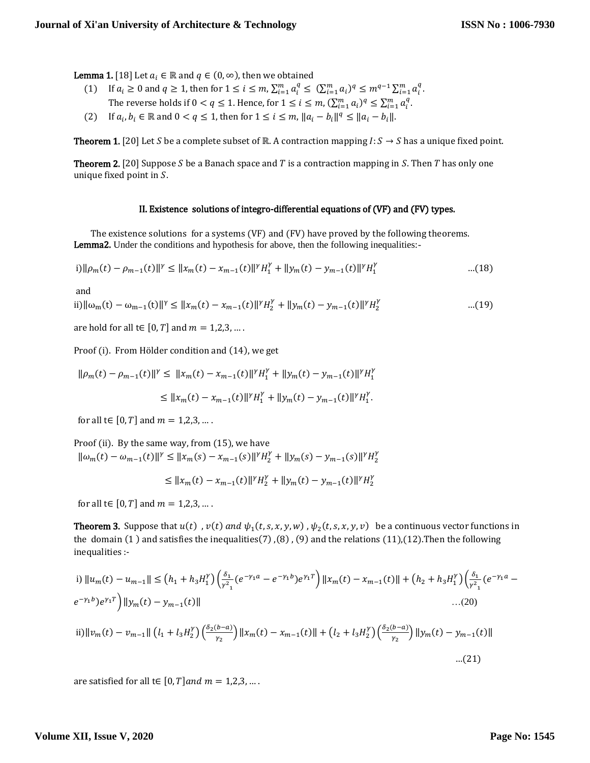**Lemma 1.** [18] Let  $a_i \in \mathbb{R}$  and  $q \in (0, \infty)$ , then we obtained

- (1) If  $a_i \ge 0$  and  $q \ge 1$ , then for  $1 \le i \le m$ ,  $\sum_{i=1}^m a_i^q \le (\sum_{i=1}^m a_i)^q \le m^{q-1} \sum_{i=1}^m a_i^q$ . The reverse holds if  $0 < q \le 1$ . Hence, for  $1 \le i \le m$ ,  $(\sum_{i=1}^{m} a_i)^q \le \sum_{i=1}^{m} a_i^q$ .
- (2) If  $a_i, b_i \in \mathbb{R}$  and  $0 < q \le 1$ , then for  $1 \le i \le m$ ,  $||a_i b_i||^q \le ||a_i b_i||$ .

**Theorem 1.** [20] Let *S* be a complete subset of ℝ. A contraction mapping *I*: *S* → *S* has a unique fixed point.

**Theorem 2.** [20] Suppose S be a Banach space and T is a contraction mapping in S. Then T has only one unique fixed point in  $S$ .

#### II. Existence solutions of integro-differential equations of (VF) and (FV) types.

 The existence solutions for a systems (VF) and (FV) have proved by the following theorems. Lemma2. Under the conditions and hypothesis for above, then the following inequalities:-

$$
i) \|\rho_m(t) - \rho_{m-1}(t)\|^{\gamma} \le \|x_m(t) - x_{m-1}(t)\|^{\gamma} H_1^{\gamma} + \|y_m(t) - y_{m-1}(t)\|^{\gamma} H_1^{\gamma}
$$
...(18)

and

ii) 
$$
\|\omega_m(t) - \omega_{m-1}(t)\|^{\gamma} \le \|x_m(t) - x_{m-1}(t)\|^{\gamma}H_2^{\gamma} + \|y_m(t) - y_{m-1}(t)\|^{\gamma}H_2^{\gamma}
$$
 ...(19)

are hold for all  $t \in [0, T]$  and  $m = 1, 2, 3, ...$ .

Proof (i). From Hölder condition and (14), we get

$$
\|\rho_m(t) - \rho_{m-1}(t)\|^{\gamma} \le \|x_m(t) - x_{m-1}(t)\|^{\gamma}H_1^{\gamma} + \|y_m(t) - y_{m-1}(t)\|^{\gamma}H_1^{\gamma}
$$

$$
\leq \|x_m(t) - x_{m-1}(t)\|^{\gamma} H_1^{\gamma} + \|y_m(t) - y_{m-1}(t)\|^{\gamma} H_1^{\gamma}.
$$

for all t∈ [0, T] and  $m = 1, 2, 3, ...$ .

Proof (ii). By the same way, from (15), we have  $\|\omega_m(t) - \omega_{m-1}(t)\|^{\gamma} \leq \|x_m(s) - x_{m-1}(s)\|^{\gamma} H_2^{\gamma} + \|y_m(s) - y_{m-1}(s)\|^{\gamma} H_2^{\gamma}$ 

$$
\leq \|x_m(t) - x_{m-1}(t)\|^\gamma H_2^{\gamma} + \|y_m(t) - y_{m-1}(t)\|^\gamma H_2^{\gamma}
$$

for all t $\in [0, T]$  and  $m = 1, 2, 3, ...$ .

**Theorem 3.** Suppose that  $u(t)$  ,  $v(t)$  and  $\psi_1(t, s, x, y, w)$  ,  $\psi_2(t, s, x, y, v)$  be a continuous vector functions in the domain (1) and satisfies the inequalities(7),(8), (9) and the relations (11),(12). Then the following inequalities :-

i) 
$$
||u_m(t) - u_{m-1}|| \le (h_1 + h_3 H_1^{\gamma}) \left(\frac{\delta_1}{\gamma^2} (e^{-\gamma_1 a} - e^{-\gamma_1 b}) e^{\gamma_1 T}\right) ||x_m(t) - x_{m-1}(t)|| + (h_2 + h_3 H_1^{\gamma}) \left(\frac{\delta_1}{\gamma^2} (e^{-\gamma_1 a} - e^{-\gamma_1 b}) e^{\gamma_1 T}\right) ||y_m(t) - y_{m-1}(t)||
$$
  
\n...(20)  
\nii)  $||v_m(t) - v_{m-1}|| (l_1 + l_3 H_2^{\gamma}) \left(\frac{\delta_2(b-a)}{\gamma_2}\right) ||x_m(t) - x_{m-1}(t)|| + (l_2 + l_3 H_2^{\gamma}) \left(\frac{\delta_2(b-a)}{\gamma_2}\right) ||y_m(t) - y_{m-1}(t)||$   
\n...(21)

are satisfied for all t∈  $[0, T]$  and  $m = 1, 2, 3, ...$ .

#### **Volume XII, Issue V, 2020**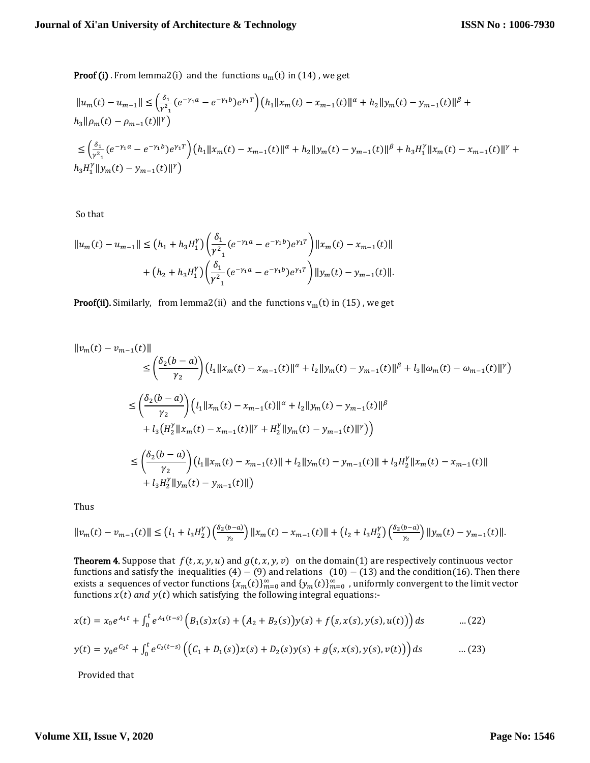**Proof (i)** . From lemma2(i) and the functions  $u_m(t)$  in (14), we get

$$
\|u_m(t) - u_{m-1}\| \leq \left(\frac{\delta_1}{r^2} (e^{-\gamma_1 a} - e^{-\gamma_1 b}) e^{\gamma_1 T}\right) \left(h_1 \|x_m(t) - x_{m-1}(t)\|^{\alpha} + h_2 \|y_m(t) - y_{m-1}(t)\|^{\beta} + h_3 \|\rho_m(t) - \rho_{m-1}(t)\|^{\gamma}\right)
$$
  

$$
\leq \left(\frac{\delta_1}{r^2} (e^{-\gamma_1 a} - e^{-\gamma_1 b}) e^{\gamma_1 T}\right) \left(h_1 \|x_m(t) - x_{m-1}(t)\|^{\alpha} + h_2 \|y_m(t) - y_{m-1}(t)\|^{\beta} + h_3 H_1^{\gamma} \|x_m(t) - x_{m-1}(t)\|^{\gamma} + h_3 H_1^{\gamma} \|y_m(t) - y_{m-1}(t)\|^{\gamma}\right)
$$

So that

$$
||u_m(t) - u_{m-1}|| \le (h_1 + h_3 H_1^{\gamma}) \left(\frac{\delta_1}{\gamma^2} (e^{-\gamma_1 a} - e^{-\gamma_1 b}) e^{\gamma_1 T}\right) ||x_m(t) - x_{m-1}(t)||
$$
  
+  $(h_2 + h_3 H_1^{\gamma}) \left(\frac{\delta_1}{\gamma^2} (e^{-\gamma_1 a} - e^{-\gamma_1 b}) e^{\gamma_1 T}\right) ||y_m(t) - y_{m-1}(t)||.$ 

**Proof(ii).** Similarly, from lemma2(ii) and the functions  $v_m(t)$  in (15), we get

$$
\|v_m(t) - v_{m-1}(t)\|
$$
  
\n
$$
\leq \left(\frac{\delta_2(b-a)}{\gamma_2}\right) \left( l_1 \|x_m(t) - x_{m-1}(t)\|^{\alpha} + l_2 \|y_m(t) - y_{m-1}(t)\|^{\beta} + l_3 \|\omega_m(t) - \omega_{m-1}(t)\|^{\gamma} \right)
$$
  
\n
$$
\leq \left(\frac{\delta_2(b-a)}{\gamma_2}\right) \left( l_1 \|x_m(t) - x_{m-1}(t)\|^{\alpha} + l_2 \|y_m(t) - y_{m-1}(t)\|^{\beta} + l_3 \left( H_2^{\gamma} \|x_m(t) - x_{m-1}(t)\|^{\gamma} + H_2^{\gamma} \|y_m(t) - y_{m-1}(t)\|^{\gamma} \right) \right)
$$
  
\n
$$
\leq \left(\frac{\delta_2(b-a)}{\gamma_2}\right) \left( l_1 \|x_m(t) - x_{m-1}(t)\|^{\gamma} + l_2 \|y_m(t) - y_{m-1}(t)\|^{\gamma} + l_3 H_2^{\gamma} \|x_m(t) - x_{m-1}(t)\|^{\gamma} + l_4 H_2^{\gamma} \|y_m(t) - y_{m-1}(t)\|^{\gamma} \right)
$$

Thus

$$
||v_m(t) - v_{m-1}(t)|| \le (l_1 + l_3 H_2^{\gamma}) \left(\frac{\delta_2(b-a)}{\gamma_2}\right) ||x_m(t) - x_{m-1}(t)|| + (l_2 + l_3 H_2^{\gamma}) \left(\frac{\delta_2(b-a)}{\gamma_2}\right) ||y_m(t) - y_{m-1}(t)||.
$$

**Theorem 4.** Suppose that  $f(t, x, y, u)$  and  $g(t, x, y, v)$  on the domain(1) are respectively continuous vector functions and satisfy the inequalities  $(4) - (9)$  and relations  $(10) - (13)$  and the condition(16). Then there exists a sequences of vector functions  $\{x_m(t)\}_{m=0}^\infty$  and  $\{y_m(t)\}_{m=0}^\infty$  , uniformly convergent to the limit vector functions  $x(t)$  and  $y(t)$  which satisfying the following integral equations:-

$$
x(t) = x_0 e^{A_1 t} + \int_0^t e^{A_1(t-s)} \left( B_1(s) x(s) + (A_2 + B_2(s)) y(s) + f(s, x(s), y(s), u(t)) \right) ds \qquad \dots (22)
$$

$$
y(t) = y_0 e^{C_2 t} + \int_0^t e^{C_2(t-s)} \left( \left( C_1 + D_1(s) \right) x(s) + D_2(s) y(s) + g(s, x(s), y(s), v(t) \right) ds \qquad \dots (23)
$$

Provided that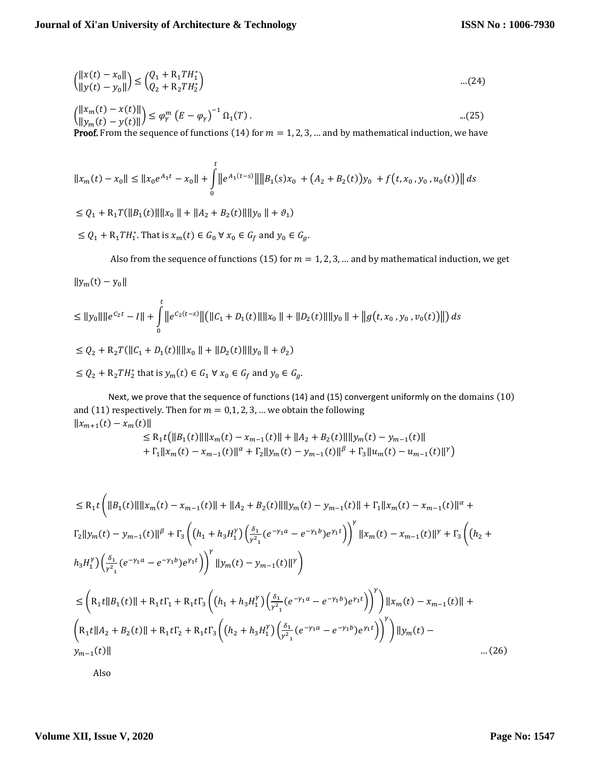$$
{\binom{\|x(t) - x_0\|}{\|y(t) - y_0\|}} \le {\binom{Q_1 + R_1 T H_1^*}{Q_2 + R_2 T H_2^*}}
$$
...(24)

$$
\begin{aligned}\n\left(\frac{\|x_m(t) - x(t)\|}{\|y_m(t) - y(t)\|}\right) &\leq \varphi_r^m \left(E - \varphi_r\right)^{-1} \Omega_1(T).\n\end{aligned}
$$
\n(25)

**Proof.** From the sequence of functions (14) for  $m = 1, 2, 3, ...$  and by mathematical induction, we have

$$
||x_m(t) - x_0|| \le ||x_0 e^{A_1 t} - x_0|| + \int_0^t ||e^{A_1(t-s)}|| ||B_1(s)x_0 + (A_2 + B_2(t))y_0 + f(t, x_0, y_0, u_0(t))|| ds
$$

 $\leq Q_1 + R_1 T(||B_1(t)|| ||x_0|| + ||A_2 + B_2(t)|| ||y_0|| + \vartheta_1)$ 

 $\leq Q_1 + R_1 TH_1^*$ . That is  $x_m(t) \in G_0 \forall x_0 \in G_f$  and  $y_0 \in G_g$ .

Also from the sequence of functions (15) for  $m = 1, 2, 3, ...$  and by mathematical induction, we get

$$
||y_m(t) - y_0||
$$

$$
\leq ||y_0|| ||e^{C_2 t} - I|| + \int_0^t ||e^{C_2(t-s)}|| (||C_1 + D_1(t)|| ||x_0|| + ||D_2(t)|| ||y_0|| + ||g(t, x_0, y_0, v_0(t))||) ds
$$
  

$$
\leq Q_2 + R_2 T(||C_1 + D_1(t)|| ||x_0|| + ||D_2(t)|| ||y_0|| + \vartheta_2)
$$

$$
\leq Q_2 + R_2 TH_2^* \text{ that is } y_m(t) \in G_1 \,\forall \, x_0 \in G_f \text{ and } y_0 \in G_g.
$$

Next, we prove that the sequence of functions (14) and (15) convergent uniformly on the domains (10) and (11) respectively. Then for  $m = 0, 1, 2, 3, ...$  we obtain the following  $||x_{m+1}(t) - x_m(t)||$ 

$$
\leq R_1 t \big( \|B_1(t)\| \|x_m(t) - x_{m-1}(t)\| + \|A_2 + B_2(t)\| \|y_m(t) - y_{m-1}(t)\| + \Gamma_1 \|x_m(t) - x_{m-1}(t)\|^{\alpha} + \Gamma_2 \|y_m(t) - y_{m-1}(t)\|^{\beta} + \Gamma_3 \|u_m(t) - u_{m-1}(t)\|^{\gamma} \big)
$$

$$
\leq R_{1}t \left( ||B_{1}(t)|| ||x_{m}(t) - x_{m-1}(t)|| + ||A_{2} + B_{2}(t)|| ||y_{m}(t) - y_{m-1}(t)|| + \Gamma_{1} ||x_{m}(t) - x_{m-1}(t)||^{\alpha} + \Gamma_{2} ||y_{m}(t) - y_{m-1}(t)||^{\beta} + \Gamma_{3} \left( (h_{1} + h_{3}H_{1}^{V}) \left( \frac{\delta_{1}}{r^{2}} (e^{-\gamma_{1}a} - e^{-\gamma_{1}b}) e^{\gamma_{1}t} \right) \right)^{\gamma} ||x_{m}(t) - x_{m-1}(t)||^{\gamma} + \Gamma_{3} \left( (h_{2} + h_{3}H_{1}^{V}) \left( \frac{\delta_{1}}{r^{2}} (e^{-\gamma_{1}a} - e^{-\gamma_{1}b}) e^{\gamma_{1}t} \right) \right)^{\gamma} ||y_{m}(t) - y_{m-1}(t)||^{\gamma} \right)
$$
\n
$$
\leq \left( R_{1}t ||B_{1}(t)|| + R_{1}t\Gamma_{1} + R_{1}t\Gamma_{3} \left( (h_{1} + h_{3}H_{1}^{V}) \left( \frac{\delta_{1}}{r^{2}} (e^{-\gamma_{1}a} - e^{-\gamma_{1}b}) e^{\gamma_{1}t} \right) \right)^{\gamma} \right) ||x_{m}(t) - x_{m-1}(t)|| + \left( R_{1}t ||A_{2} + B_{2}(t)|| + R_{1}t\Gamma_{2} + R_{1}t\Gamma_{3} \left( (h_{2} + h_{3}H_{1}^{V}) \left( \frac{\delta_{1}}{r^{2}} (e^{-\gamma_{1}a} - e^{-\gamma_{1}b}) e^{\gamma_{1}t} \right) \right)^{\gamma} \right) ||y_{m}(t) - y_{m-1}(t)||
$$
\n.... (26)

Also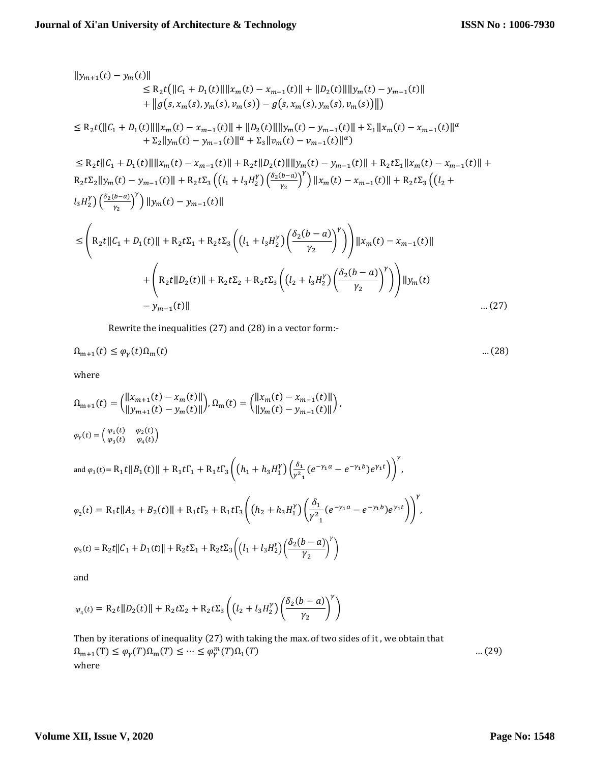$$
\|y_{m+1}(t) - y_m(t)\| \le R_2 t (\|C_1 + D_1(t)\| \|x_m(t) - x_{m-1}(t)\| + \|D_2(t)\| \|y_m(t) - y_{m-1}(t)\| + \|g(s, x_m(s), y_m(s), y_m(s)) - g(s, x_m(s), y_m(s), y_m(s))\|)
$$
  
\n
$$
\le R_2 t (\|C_1 + D_1(t)\| \|x_m(t) - x_{m-1}(t)\| + \|D_2(t)\| \|y_m(t) - y_{m-1}(t)\| + \Sigma_1 \|x_m(t) - x_{m-1}(t)\|^{\alpha} + \Sigma_2 \|y_m(t) - y_{m-1}(t)\|^{\alpha} + \Sigma_3 \|v_m(t) - v_{m-1}(t)\|^{\alpha})
$$
  
\n
$$
\le R_2 t \|C_1 + D_1(t)\| \|x_m(t) - x_{m-1}(t)\| + R_2 t \|D_2(t)\| \|y_m(t) - y_{m-1}(t)\| + R_2 t \Sigma_1 \|x_m(t) - x_{m-1}(t)\| + R_2 t \Sigma_2 \|y_m(t) - y_{m-1}(t)\| + R_2 t \Sigma_3 \left( (l_1 + l_3 H_2^y) \left( \frac{\delta_2(b-a)}{y_2} \right)^y \right) \|x_m(t) - x_{m-1}(t)\| + R_2 t \Sigma_3 \left( (l_2 + l_3 H_2^y) \left( \frac{\delta_2(b-a)}{y_2} \right)^y \right) \|x_m(t) - x_{m-1}(t)\| + R_2 t \Sigma_3 \left( (l_2 + l_3 H_2^y) \left( \frac{\delta_2(b-a)}{y_2} \right)^y \right) \Big\| \|x_m(t) - x_{m-1}(t)\| + R_2 t \Sigma_1 + R_2 t \Sigma_3 \left( (l_1 + l_3 H_2^y) \left( \frac{\delta_2(b-a)}{y_2} \right)^y \right) \Big\| \|y_m(t) - x_{m-1}(t)\| + R_2 t \Sigma_1 \|x_m(t)\| + R_2 t \Sigma_2 + R_2 t \Sigma_3 \left( (l_2 + l_3 H_2^y) \left( \frac{\delta_2(b-a)}{y_2} \right)^y \right) \Big\| \|y_m(t) - y_{m-1}(t)\|
$$
  
\n
$$
= \int_{y_{m-1}(t)}^{t} \left
$$

Rewrite the inequalities (27) and (28) in a vector form:-

$$
\Omega_{m+1}(t) \le \varphi_{\gamma}(t)\Omega_m(t) \tag{28}
$$

where

$$
\Omega_{m+1}(t) = {||x_{m+1}(t) - x_m(t)|| \choose ||y_{m+1}(t) - y_m(t)||}, \Omega_m(t) = {||x_m(t) - x_{m-1}(t)|| \choose ||y_m(t) - y_{m-1}(t)||},
$$
  
\n
$$
\varphi_r(t) = {(\varphi_1(t) \quad \varphi_2(t) \choose \varphi_3(t) \quad \varphi_4(t)}\n\text{and } \varphi_1(t) = R_1 t ||B_1(t)|| + R_1 t \Gamma_1 + R_1 t \Gamma_3 \left( (h_1 + h_3 H_1^Y) \left( \frac{\delta_1}{\gamma^2} (e^{-\gamma_1 a} - e^{-\gamma_1 b}) e^{\gamma_1 t} \right) \right)^{\gamma},
$$
  
\n
$$
\varphi_2(t) = R_1 t ||A_2 + B_2(t)|| + R_1 t \Gamma_2 + R_1 t \Gamma_3 \left( (h_2 + h_3 H_1^Y) \left( \frac{\delta_1}{\gamma^2} (e^{-\gamma_1 a} - e^{-\gamma_1 b}) e^{\gamma_1 t} \right) \right)
$$

$$
\varphi_3(t) = R_2 t \|C_1 + D_1(t)\| + R_2 t \Sigma_1 + R_2 t \Sigma_3 \left( \left( l_1 + l_3 H_2^{\gamma} \right) \left( \frac{\delta_2 (b - a)}{\gamma_2} \right)^{\gamma} \right)
$$

and

$$
\varphi_4(t) = R_2 t ||D_2(t)|| + R_2 t \Sigma_2 + R_2 t \Sigma_3 \left( \left( l_2 + l_3 H_2^{\gamma} \right) \left( \frac{\delta_2(b-a)}{\gamma_2} \right)^{\gamma} \right)
$$

Then by iterations of inequality (27) with taking the max. of two sides of it , we obtain that  $\Omega_{m+1}(T) \leq \varphi_{\gamma}(T)\Omega_m(T) \leq \cdots \leq \varphi_{\gamma}(T)\Omega_1$  $...(29)$ where

γ ,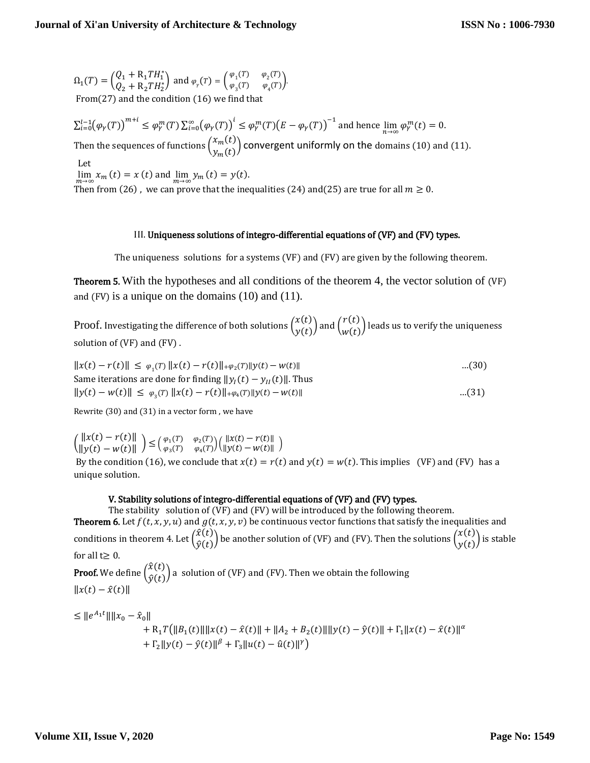$\Omega_1(T) = \begin{pmatrix} Q_1 + R_1 T H_1^* \\ 0 + R_1 T H_1^* \end{pmatrix}$  $Q_1 + R_1 TH_1^*$  and  $\varphi_\gamma(T) = \begin{pmatrix} \varphi_1(T) & \varphi_2(T) \\ \varphi_3(T) & \varphi_4(T) \end{pmatrix}$  $\varphi_3(T)$   $\varphi_4(T)$ . From(27) and the condition (16) we find

 $\sum_{i=0}^{l-1} (\varphi_\gamma(T))^{m+i} \leq \varphi_\gamma^m(T) \sum_{i=0}^{\infty} (\varphi_\gamma(T))^{i} \leq \varphi_\gamma^m(T) (E - \varphi_\gamma(T))^{-1}$  and hence  $\lim_{n \to \infty} \varphi_\gamma^m(t) = 0$ . Then the sequences of functions  $\binom{x_m(t)}{n}$  $\binom{x_m(t)}{y_m(t)}$  convergent uniformly on the domains (10) and (11). Let  $\lim_{m \to \infty} x_m(t) = x(t)$  and  $\lim_{m \to \infty} y_m(t) = y(t)$ . Then from (26), we can prove that the inequalities (24) and(25) are true for all  $m \ge 0$ .

#### III. Uniqueness solutions of integro-differential equations of (VF) and (FV) types.

The uniqueness solutions for a systems (VF) and (FV) are given by the following theorem.

Theorem 5. With the hypotheses and all conditions of the theorem 4, the vector solution of (VF) and (FV) is a unique on the domains (10) and (11).

Proof. Investigating the difference of both solutions  $\begin{pmatrix} x(t) \\ y(t) \end{pmatrix}$  $\begin{pmatrix} x(t) \ y(t) \end{pmatrix}$  and  $\begin{pmatrix} r(t) \ w(t) \end{pmatrix}$  $\begin{pmatrix} 0 \\ w(t) \end{pmatrix}$  leads us to verify the uniqueness solution of (VF) and (FV) .

$$
||x(t) - r(t)|| \le \varphi_1(T) ||x(t) - r(t)|| + \varphi_2(T)||y(t) - w(t)||
$$
\n
$$
\text{Same iterations are done for finding } ||y_I(t) - y_{II}(t)||. \text{ Thus}
$$
\n
$$
||y(t) - w(t)|| \le \varphi_3(T) ||x(t) - r(t)|| + \varphi_4(T)||y(t) - w(t)||
$$
\n...(31)

Rewrite (30) and (31) in a vector form , we have

 $\|\mathbf{x}(t) - r(t)\|$  $\|x(t) - r(t)\|$   $\leq (\varphi_1(T) - \varphi_2(T))$ <br> $\|y(t) - w(t)\|$   $\geq (\varphi_3(T) - \varphi_4(T))$  $\varphi_1(T) \varphi_2(T) \begin{cases} ||x(t) - r(t)|| \\ \varphi_3(T) \varphi_4(T) \end{cases}$  $||y(t) - w(t)||$ 

By the condition (16), we conclude that  $x(t) = r(t)$  and  $y(t) = w(t)$ . This implies (VF) and (FV) has a unique solution.

#### V. Stability solutions of integro-differential equations of (VF) and (FV) types.

The stability solution of (VF) and (FV) will be introduced by the following theorem. **Theorem 6.** Let  $f(t, x, y, u)$  and  $g(t, x, y, v)$  be continuous vector functions that satisfy the inequalities and conditions in theorem 4. Let  $\begin{pmatrix} \hat{x}(t) \\ \hat{y}(t) \end{pmatrix}$  $\hat{x}(t) \over \hat{y}(t)$  be another solution of (VF) and (FV). Then the solutions  $\binom{x(t)}{y(t)}$  $\begin{pmatrix} x(t) \\ y(t) \end{pmatrix}$  is stable for all  $t \geq 0$ . **Proof.** We define  $\begin{pmatrix} \hat{x}(t) \\ \hat{x}(t) \end{pmatrix}$  $\hat{y}(t)$  a solution of (VF) and (FV). Then we obtain the following  $||x(t) - \hat{x}(t)||$ 

$$
\leq ||e^{A_1t}|| ||x_0 - \hat{x}_0||
$$
  
+ R<sub>1</sub>T(||B<sub>1</sub>(t)|| ||x(t) - \hat{x}(t)|| + ||A<sub>2</sub> + B<sub>2</sub>(t)|| ||y(t) - \hat{y}(t)|| + \Gamma\_1 ||x(t) - \hat{x}(t)||^{\alpha}  
+ \Gamma\_2 ||y(t) - \hat{y}(t)||^{\beta} + \Gamma\_3 ||u(t) - \hat{u}(t)||^{\gamma}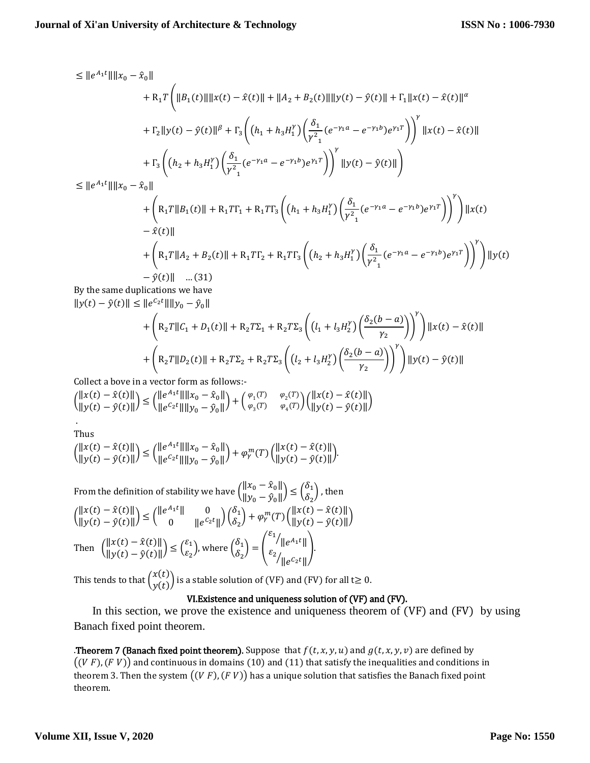$$
\leq ||e^{A_1t}|| ||x_0 - \hat{x}_0||
$$
  
+  $R_1T \left( ||B_1(t)|| ||x(t) - \hat{x}(t)|| + ||A_2 + B_2(t)|| ||y(t) - \hat{y}(t)|| + \Gamma_1 ||x(t) - \hat{x}(t)||^{\alpha}$   
+  $\Gamma_2 ||y(t) - \hat{y}(t)||^{\beta} + \Gamma_3 \left( (h_1 + h_3 H_1^{\gamma}) \left( \frac{\delta_1}{\gamma^2} (e^{-\gamma_1 a} - e^{-\gamma_1 b}) e^{\gamma_1 T} \right) \right)^{\gamma} ||x(t) - \hat{x}(t)||$   
+  $\Gamma_3 \left( (h_2 + h_3 H_1^{\gamma}) \left( \frac{\delta_1}{\gamma^2} (e^{-\gamma_1 a} - e^{-\gamma_1 b}) e^{\gamma_1 T} \right) \right)^{\gamma} ||y(t) - \hat{y}(t)||$   

$$
\leq ||e^{A_1 t}|| ||x_0 - \hat{x}_0||
$$
  
+  $\left( R_1 T ||B_1(t)|| + R_1 T I_1 + R_1 T I_3 \left( (h_1 + h_3 H_1^{\gamma}) \left( \frac{\delta_1}{\gamma^2} (e^{-\gamma_1 a} - e^{-\gamma_1 b}) e^{\gamma_1 T} \right) \right)^{\gamma} \right) ||x(t) - \hat{x}(t)||$   
+  $\left( R_1 T ||A_2 + B_2(t)|| + R_1 T I_2 + R_1 T I_3 \left( (h_2 + h_3 H_1^{\gamma}) \left( \frac{\delta_1}{\gamma^2} (e^{-\gamma_1 a} - e^{-\gamma_1 b}) e^{\gamma_1 T} \right) \right)^{\gamma} \right) ||y(t) - \hat{y}(t)||$ ...(31)  

By the same duplications we have  $||y(t) - \hat{y}(t)|| \leq ||e^{c_2 t}|| ||y_0 - \hat{y}_0||$ 

$$
+\left(R_{2}T\|C_{1}+D_{1}(t)\|+R_{2}T\Sigma_{1}+R_{2}T\Sigma_{3}\left(\left(l_{1}+l_{3}H_{2}^{y}\right)\left(\frac{\delta_{2}(b-a)}{\gamma_{2}}\right)\right)^{y}\right)\|x(t)-\hat{x}(t)\|+\left(R_{2}T\|D_{2}(t)\|+R_{2}T\Sigma_{2}+R_{2}T\Sigma_{3}\left(\left(l_{2}+l_{3}H_{2}^{y}\right)\left(\frac{\delta_{2}(b-a)}{\gamma_{2}}\right)\right)^{y}\right)\|y(t)-\hat{y}(t)\|
$$

Collect a bove in a vector form as follows:-  $\|\mathbf{x}(t) - \hat{\mathbf{x}}(t)\|$  $\|x(t) - \hat{x}(t)\|$ <br>  $\|y(t) - \hat{y}(t)\|$   $\leq$   $\left(\frac{\|e^{A_1 t}\| \|x_0 - \hat{x}_0\|}{\|e^{C_2 t}\| \|y_0 - \hat{y}_0\|}\right)$  $\|\left[e^{A_1 t} \|\|x_0 - \hat{x}_0\|\right] + \begin{pmatrix} \varphi_1(T) & \varphi_2(T) \\ \varphi_2 t \|\|y_0 - \hat{y}_0\| \end{pmatrix} + \begin{pmatrix} \varphi_1(T) & \varphi_2(T) \\ \varphi_3(T) & \varphi_4(T) \end{pmatrix}$  $\begin{array}{ll} \varphi_1(T) & \varphi_2(T) \\ \varphi_3(T) & \varphi_4(T) \end{array} \biggl( \begin{array}{ll} ||x(t) - \hat{x}(t)|| \\ ||y(t) - \hat{y}(t)|| \end{array}$  $\|y(t) - \hat{y}(t)\|$ .

Thus

$$
{\|x(t)-\hat{x}(t)\| \choose \|y(t)-\hat{y}(t)\|} \le {\|e^{A_1 t}\| \|x_0-\hat{x}_0\| \choose \|e^{C_2 t}\| \|y_0-\hat{y}_0\|} + \varphi_\gamma^m(T) \left( {\|x(t)-\hat{x}(t)\| \over \|y(t)-\hat{y}(t)\|}\right).
$$

From the definition of stability we have  $\begin{pmatrix} ||x_0 - \hat{x}_0|| \ \frac{1}{2} ||x_0 - \hat{x}_0|| \end{pmatrix}$  $\begin{aligned} ||x_0 - \hat{x}_0|| \\ ||y_0 - \hat{y}_0|| \end{aligned} \le \begin{pmatrix} \delta_1 \\ \delta_2 \end{pmatrix}$  $\binom{5}{2}$ , then  $\|\mathbf{x}(t) - \hat{\mathbf{x}}(t)\|$  $\|x(t) - \hat{x}(t)\|$ <br>  $\|y(t) - \hat{y}(t)\|$ )  $\leq \begin{pmatrix} \|e^{A_1 t}\| & 0 \\ 0 & \|e^{C_2 t}\| \end{pmatrix}$  $\begin{array}{cc} \|\delta_1 t\| & 0 \ 0 & \|\mathcal{e}^{ \mathcal{C}_2 t} \| \end{array} \bigg) \begin{pmatrix} \delta_1 \ \delta_2 \end{pmatrix}$  $\delta_1 \delta_2 + \varphi_r^m(T) \left( \frac{\|x(t) - \hat{x}(t)\|}{\|y(t) - \hat{y}(t)\|} \right)$  $\|y(t) - \hat{y}(t)\|$ Then  $\left\| \begin{matrix} x(t) - \hat{x}(t) \\ y(t) \end{matrix} \right\|$  $\|x(t) - \hat{x}(t)\|$ <br> $\|y(t) - \hat{y}(t)\|$ )  $\leq \left(\frac{\varepsilon_1}{\varepsilon_2}\right)$  $\binom{\mathcal{E}_1}{\mathcal{E}_2}$ ), where  $\binom{\delta_1}{\delta_2}$  $\begin{pmatrix} 0 \\ \delta_2 \end{pmatrix}$  =  $\begin{pmatrix} 0 \\ 0 \end{pmatrix}$  $\varepsilon_1$  $/$   $\|e^{A_1 t}\|$  $\varepsilon_2$  $\sqrt{\|e^{C_2 t}\|}$ ).

This tends to that  $\binom{x(t)}{x(t)}$  $\begin{array}{c} \mathcal{L}(v) \ y(t) \end{array}$  is a stable solution of (VF) and (FV) for all t $\geq 0.5$ 

## VI.Existence and uniqueness solution of (VF) and (FV).

 In this section, we prove the existence and uniqueness theorem of (VF) and (FV) by using Banach fixed point theorem.

**Theorem 7 (Banach fixed point theorem).** Suppose that  $f(t, x, y, u)$  and  $g(t, x, y, v)$  are defined by  $((V F), (F V))$  and continuous in domains (10) and (11) that satisfy the inequalities and conditions in theorem 3. Then the system  $((V F), (F V))$  has a unique solution that satisfies the Banach fixed point theorem.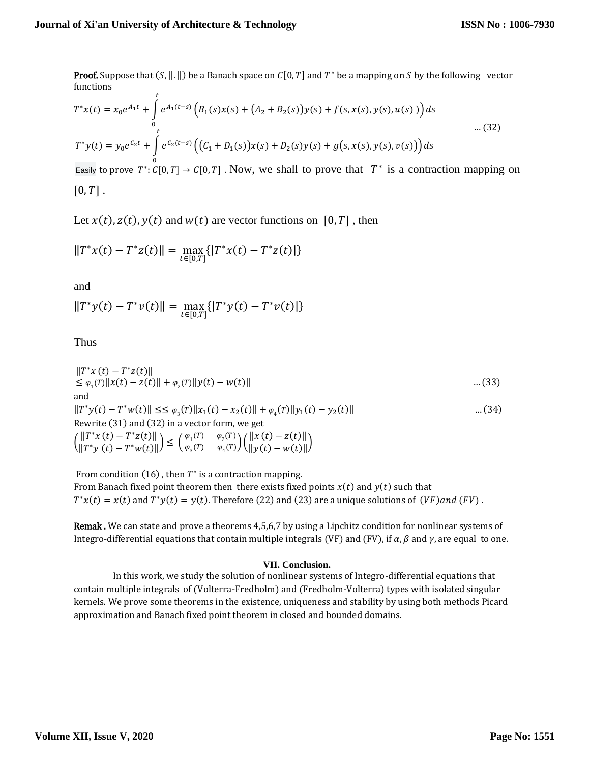**Proof.** Suppose that  $(S, \|P\|)$  be a Banach space on  $C[0, T]$  and  $T^*$  be a mapping on S by the following vector functions

$$
T^*x(t) = x_0e^{A_1t} + \int_0^t e^{A_1(t-s)} \left( B_1(s)x(s) + (A_2 + B_2(s))y(s) + f(s, x(s), y(s), u(s)) \right) ds
$$
  

$$
T^*y(t) = y_0e^{C_2t} + \int_0^t e^{C_2(t-s)} \left( (C_1 + D_1(s))x(s) + D_2(s)y(s) + g(s, x(s), y(s), v(s)) \right) ds
$$
...(32)

Easily to prove  $T^*: C[0,T] \to C[0,T]$ . Now, we shall to prove that  $T^*$  is a contraction mapping on  $[0, T]$ .

Let  $x(t)$ ,  $z(t)$ ,  $y(t)$  and  $w(t)$  are vector functions on [0, T], then

$$
||T^*x(t) - T^*z(t)|| = \max_{t \in [0,T]} \{ |T^*x(t) - T^*z(t)| \}
$$

and

$$
||T^*y(t) - T^*v(t)|| = \max_{t \in [0,T]} {||T^*y(t) - T^*v(t)||}
$$

Thus

$$
||T^*x(t) - T^*z(t)||
$$
  
\n
$$
\leq \varphi_1(T)||x(t) - z(t)|| + \varphi_2(T)||y(t) - w(t)||
$$
  
\nand  
\n
$$
||T^*y(t) - T^*w(t)|| \leq \varphi_3(T)||x_1(t) - x_2(t)|| + \varphi_4(T)||y_1(t) - y_2(t)||
$$
  
\n
$$
||T^*y(t) - T^*w(t)|| \leq \varphi_3(T)||x_1(t) - x_2(t)|| + \varphi_4(T)||y_1(t) - y_2(t)||
$$
  
\n
$$
||T^*x(t) - T^*z(t)||
$$
  
\n
$$
||T^*y(t) - T^*w(t)|| \leq \left(\frac{\varphi_1(T)}{\varphi_3(T)} - \frac{\varphi_2(T)}{\varphi_4(T)}\right) \left(\frac{||x(t) - z(t)||}{||y(t) - w(t)||}\right)
$$

From condition (16), then  $T^*$  is a contraction mapping. From Banach fixed point theorem then there exists fixed points  $x(t)$  and  $y(t)$  such that  $T^*x(t) = x(t)$  and  $T^*y(t) = y(t)$ . Therefore (22) and (23) are a unique solutions of  $(VF)$  and  $(FV)$ .

Remak . We can state and prove a theorems 4,5,6,7 by using a Lipchitz condition for nonlinear systems of Integro-differential equations that contain multiple integrals (VF) and (FV), if  $\alpha$ ,  $\beta$  and  $\gamma$ , are equal to one.

#### **VII. Conclusion.**

In this work, we study the solution of nonlinear systems of Integro-differential equations that contain multiple integrals of (Volterra-Fredholm) and (Fredholm-Volterra) types with isolated singular kernels. We prove some theorems in the existence, uniqueness and stability by using both methods Picard approximation and Banach fixed point theorem in closed and bounded domains.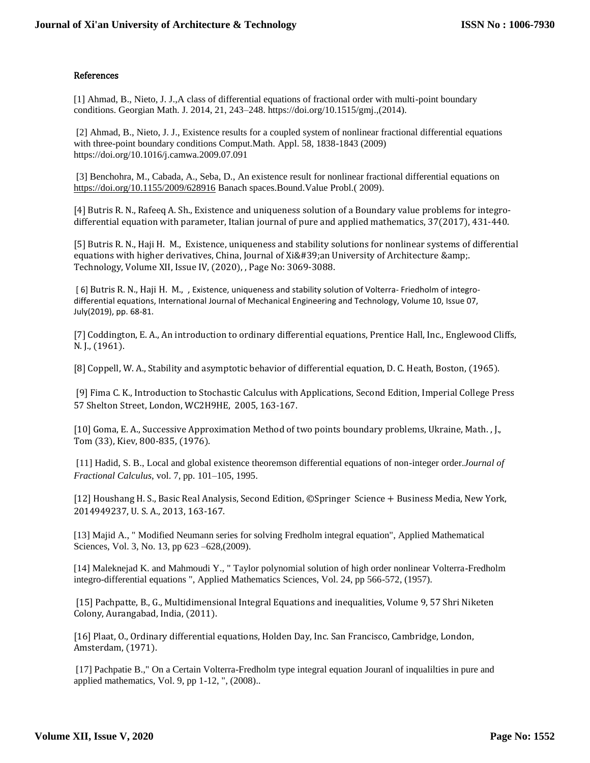#### References

[1] Ahmad, B., Nieto, J. J.,A class of differential equations of fractional order with multi-point boundary conditions. Georgian Math. J. 2014, 21, 243–248. https://doi.org/10.1515/gmj.,(2014).

[2] Ahmad, B., Nieto, J. J., Existence results for a coupled system of nonlinear fractional differential equations with three-point boundary conditions Comput.Math. Appl. 58, 1838-1843 (2009) https://doi.org/10.1016/j.camwa.2009.07.091

[3] Benchohra, M., Cabada, A., Seba, D., An existence result for nonlinear fractional differential equations on <https://doi.org/10.1155/2009/628916> Banach spaces.Bound.Value Probl.( 2009).

[4] Butris R. N., Rafeeq A. Sh., Existence and uniqueness solution of a Boundary value problems for integrodifferential equation with parameter, Italian journal of pure and applied mathematics, 37(2017), 431-440.

[5] Butris R. N., Haji H. M., Existence, uniqueness and stability solutions for nonlinear systems of differential equations with higher derivatives, China, Journal of  $Xi\&\#39;$  an University of Architecture & amp;. Technology, Volume XII, Issue IV, (2020), , Page No: 3069-3088.

[ 6] Butris R. N., Haji H. M., , Existence, uniqueness and stability solution of Volterra- Friedholm of integrodifferential equations, International Journal of Mechanical Engineering and Technology, Volume 10, Issue 07, July(2019), pp. 68-81.

[7] Coddington, E. A., An introduction to ordinary differential equations, Prentice Hall, Inc., Englewood Cliffs, N. J., (1961).

[8] Coppell, W. A., Stability and asymptotic behavior of differential equation, D. C. Heath, Boston, (1965).

[9] Fima C. K., Introduction to Stochastic Calculus with Applications, Second Edition, Imperial College Press 57 Shelton Street, London, WC2H9HE, 2005, 163-167.

[10] Goma, E. A., Successive Approximation Method of two points boundary problems, Ukraine, Math. , J., Tom (33), Kiev, 800-835, (1976).

[11] Hadid, S. B., Local and global existence theoremson differential equations of non-integer order.*Journal of Fractional Calculus*, vol. 7, pp. 101–105, 1995.

[12] Houshang H. S., Basic Real Analysis, Second Edition, ©Springer Science + Business Media, New York, 2014949237, U. S. A., 2013, 163-167.

[13] Majid A., " Modified Neumann series for solving Fredholm integral equation", Applied Mathematical Sciences, Vol. 3, No. 13, pp 623 –628,(2009).

[14] Maleknejad K. and Mahmoudi Y., " Taylor polynomial solution of high order nonlinear Volterra-Fredholm integro-differential equations ", Applied Mathematics Sciences, Vol. 24, pp 566-572, (1957).

[15] Pachpatte, B., G., Multidimensional Integral Equations and inequalities, Volume 9, 57 Shri Niketen Colony, Aurangabad, India, (2011).

[16] Plaat, O., Ordinary differential equations, Holden Day, Inc. San Francisco, Cambridge, London, Amsterdam, (1971).

[17] Pachpatie B.," On a Certain Volterra-Fredholm type integral equation Jouranl of inqualilties in pure and applied mathematics, Vol. 9, pp 1-12, ", (2008)..